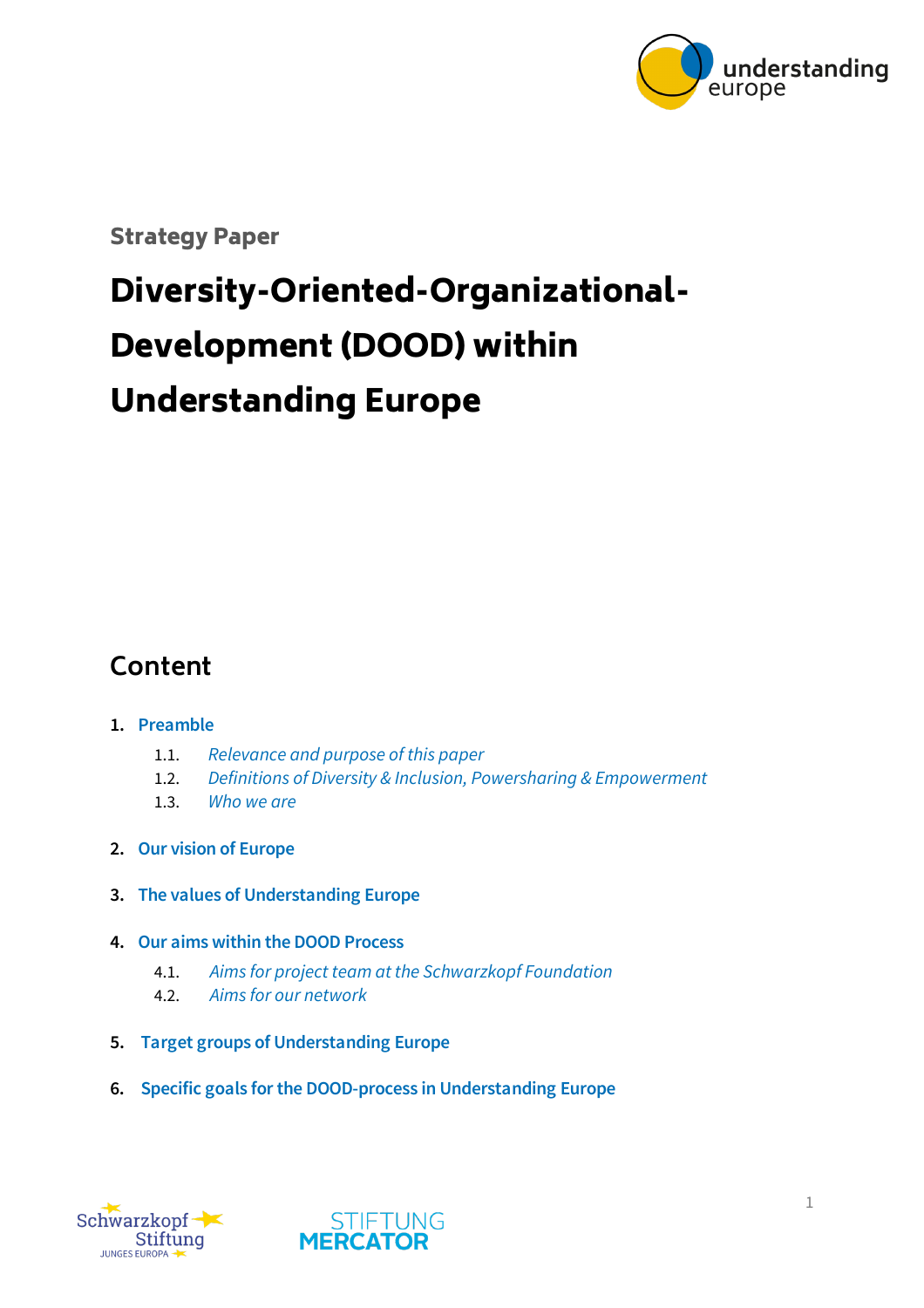

Strategy Paper

# Diversity-Oriented-Organizational-Development (DOOD) within Understanding Europe

### **Content**

#### **1. Preamble**

- 1.1. *[Relevance and purpose of this paper](#page-1-0)*
- 1.2. *[Definitions of Diversity & Inclusion, Powersharing & Empowerment](#page-1-1)*
- 1.3. *[Who we are](#page-3-0)*
- **2. [Our vision of Europe](#page-5-0)**
- **3. [The values of Understanding Europe](#page-6-0)**
- **4. [Our aims within the DOOD Process](#page-7-0)**
	- 4.1. *[Aims for project team at the Schwarzkopf Foundation](#page-7-1)*
	- 4.2. *[Aims for our network](#page-7-2)*
- **5. [Target groups of Understanding Europe](#page-8-0)**
- **6. [Specific goals for the DOOD-process in Understanding Europe](#page-9-0)**



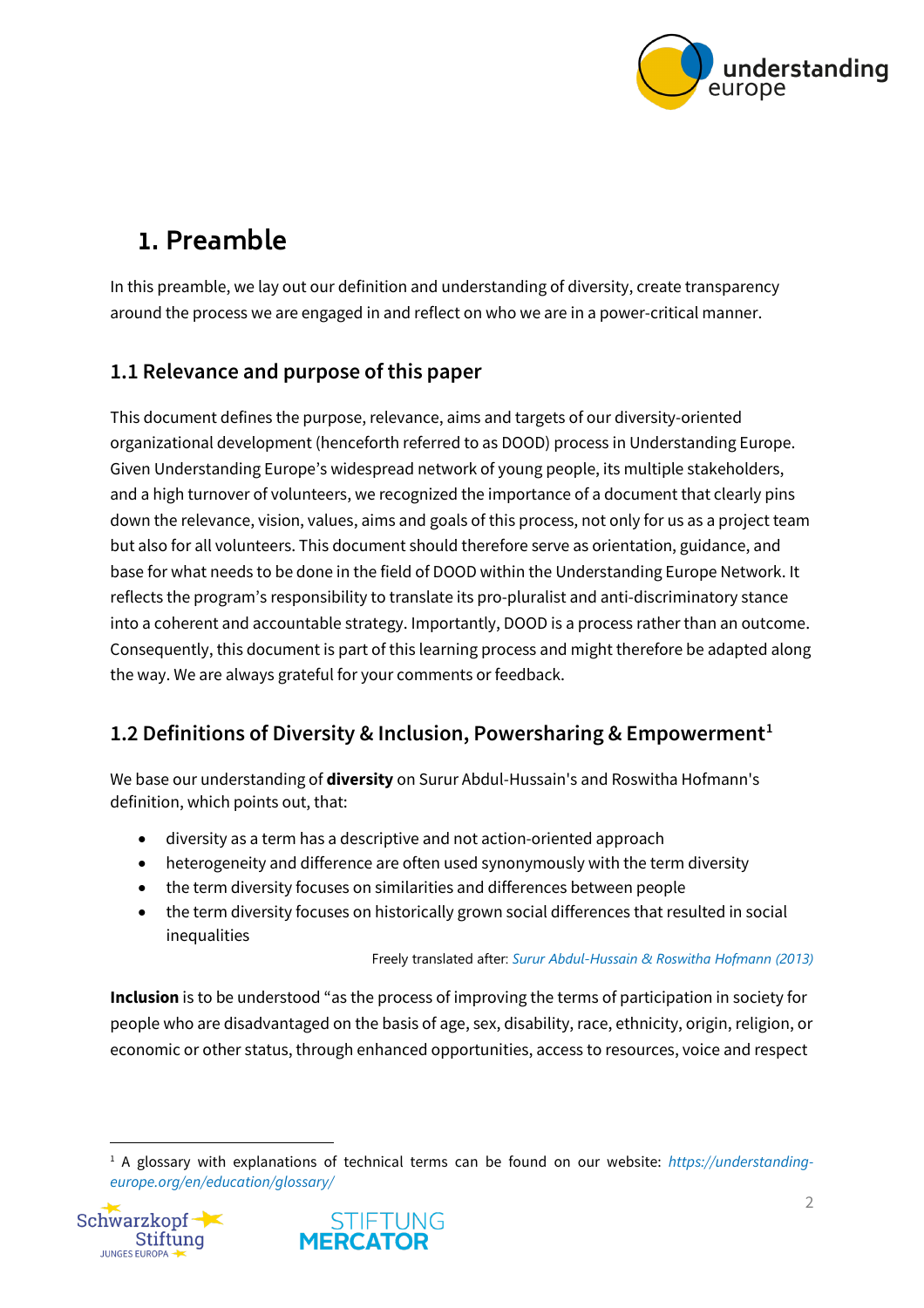

# **1. Preamble**

In this preamble, we lay out our definition and understanding of diversity, create transparency around the process we are engaged in and reflect on who we are in a power-critical manner.

#### <span id="page-1-0"></span>**1.1 Relevance and purpose of this paper**

This document defines the purpose, relevance, aims and targets of our diversity-oriented organizational development (henceforth referred to as DOOD) process in Understanding Europe. Given Understanding Europe's widespread network of young people, its multiple stakeholders, and a high turnover of volunteers, we recognized the importance of a document that clearly pins down the relevance, vision, values, aims and goals of this process, not only for us as a project team but also for all volunteers. This document should therefore serve as orientation, guidance, and base for what needs to be done in the field of DOOD within the Understanding Europe Network. It reflects the program's responsibility to translate its pro-pluralist and anti-discriminatory stance into a coherent and accountable strategy. Importantly, DOOD is a process rather than an outcome. Consequently, this document is part of this learning process and might therefore be adapted along the way. We are always grateful for your comments or feedback.

#### <span id="page-1-1"></span>**1.2 Definitions of Diversity & Inclusion, Powersharing & Empowerment[1](#page-1-2)**

We base our understanding of **diversity** on Surur Abdul-Hussain's and Roswitha Hofmann's definition, which points out, that:

- diversity as a term has a descriptive and not action-oriented approach
- heterogeneity and difference are often used synonymously with the term diversity
- the term diversity focuses on similarities and differences between people
- the term diversity focuses on historically grown social differences that resulted in social inequalities

#### Freely translated after: *[Surur Abdul-Hussain & Roswitha Hofmann \(2013\)](https://erwachsenenbildung.at/themen/diversitymanagement/grundlagen/begriffserklaerung.php)*

**Inclusion** is to be understood "as the process of improving the terms of participation in society for people who are disadvantaged on the basis of age, sex, disability, race, ethnicity, origin, religion, or economic or other status, through enhanced opportunities, access to resources, voice and respect

<span id="page-1-2"></span><sup>1</sup> A glossary with explanations of technical terms can be found on our website: *https://understandingeurope.org/en/education/glossary/*



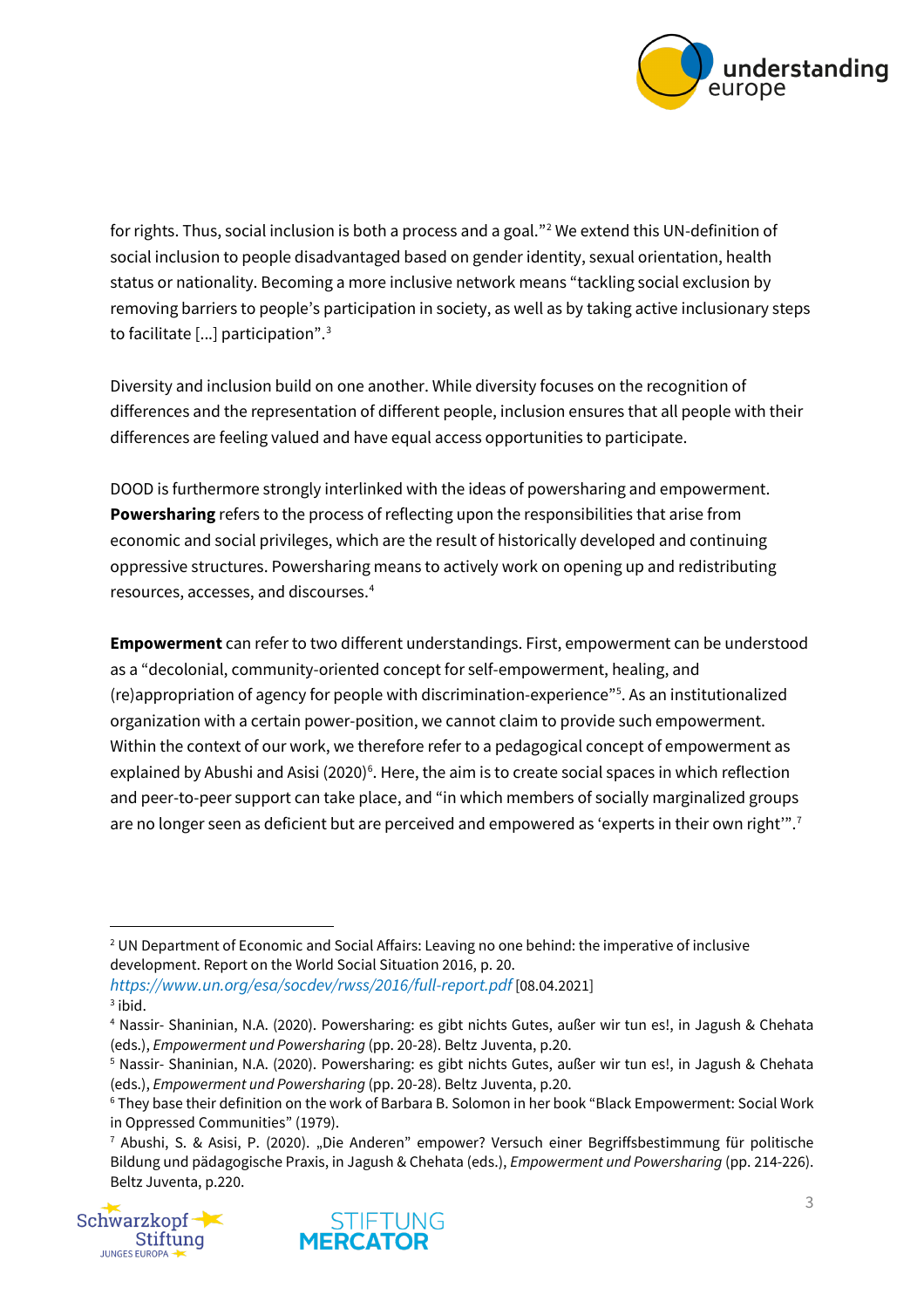

for rights. Thus, social inclusion is both a process and a goal."[2](#page-2-0) We extend this UN-definition of social inclusion to people disadvantaged based on gender identity, sexual orientation, health status or nationality. Becoming a more inclusive network means "tackling social exclusion by removing barriers to people's participation in society, as well as by taking active inclusionary steps to facilitate [...] participation". $^{\rm 3}$  $^{\rm 3}$  $^{\rm 3}$ 

Diversity and inclusion build on one another. While diversity focuses on the recognition of differences and the representation of different people, inclusion ensures that all people with their differences are feeling valued and have equal access opportunities to participate.

DOOD is furthermore strongly interlinked with the ideas of powersharing and empowerment. **Powersharing** refers to the process of reflecting upon the responsibilities that arise from economic and social privileges, which are the result of historically developed and continuing oppressive structures. Powersharing means to actively work on opening up and redistributing resources, accesses, and discourses.[4](#page-2-2)

**Empowerment** can refer to two different understandings. First, empowerment can be understood as a "decolonial, community-oriented concept for self-empowerment, healing, and (re)appropriation of agency for people with discrimination-experience"[5](#page-2-3) . As an institutionalized organization with a certain power-position, we cannot claim to provide such empowerment. Within the context of our work, we therefore refer to a pedagogical concept of empowerment as explained by Abushi and Asisi (2020) $^{\circ}$ . Here, the aim is to create social spaces in which reflection and peer-to-peer support can take place, and "in which members of socially marginalized groups are no longer seen as deficient but are perceived and empowered as 'experts in their own right'".<sup>[7](#page-2-5)</sup>

<span id="page-2-1"></span>*<https://www.un.org/esa/socdev/rwss/2016/full-report.pdf>* [08.04.2021]  $3$  ibid.

<span id="page-2-5"></span><span id="page-2-4"></span><span id="page-2-3"></span>in Oppressed Communities" (1979).<br><sup>7</sup> Abushi, S. & Asisi, P. (2020). "Die Anderen" empower? Versuch einer Begriffsbestimmung für politische Bildung und pädagogische Praxis, in Jagush & Chehata (eds.), *Empowerment und Powersharing* (pp. 214-226). Beltz Juventa, p.220.





<span id="page-2-0"></span><sup>&</sup>lt;sup>2</sup> UN Department of Economic and Social Affairs: Leaving no one behind: the imperative of inclusive development. Report on the World Social Situation 2016, p. 20.

<span id="page-2-2"></span><sup>4</sup> Nassir- Shaninian, N.A. (2020). Powersharing: es gibt nichts Gutes, außer wir tun es!, in Jagush & Chehata (eds.), *Empowerment und Powersharing* (pp. 20-28). Beltz Juventa, p.20.

<sup>5</sup> Nassir- Shaninian, N.A. (2020). Powersharing: es gibt nichts Gutes, außer wir tun es!, in Jagush & Chehata (eds.), *Empowerment und Powersharing* (pp. 20-28). Beltz Juventa, p.20.<br><sup>6</sup> They base their definition on the work of Barbara B. Solomon in her book "Black Empowerment: Social Work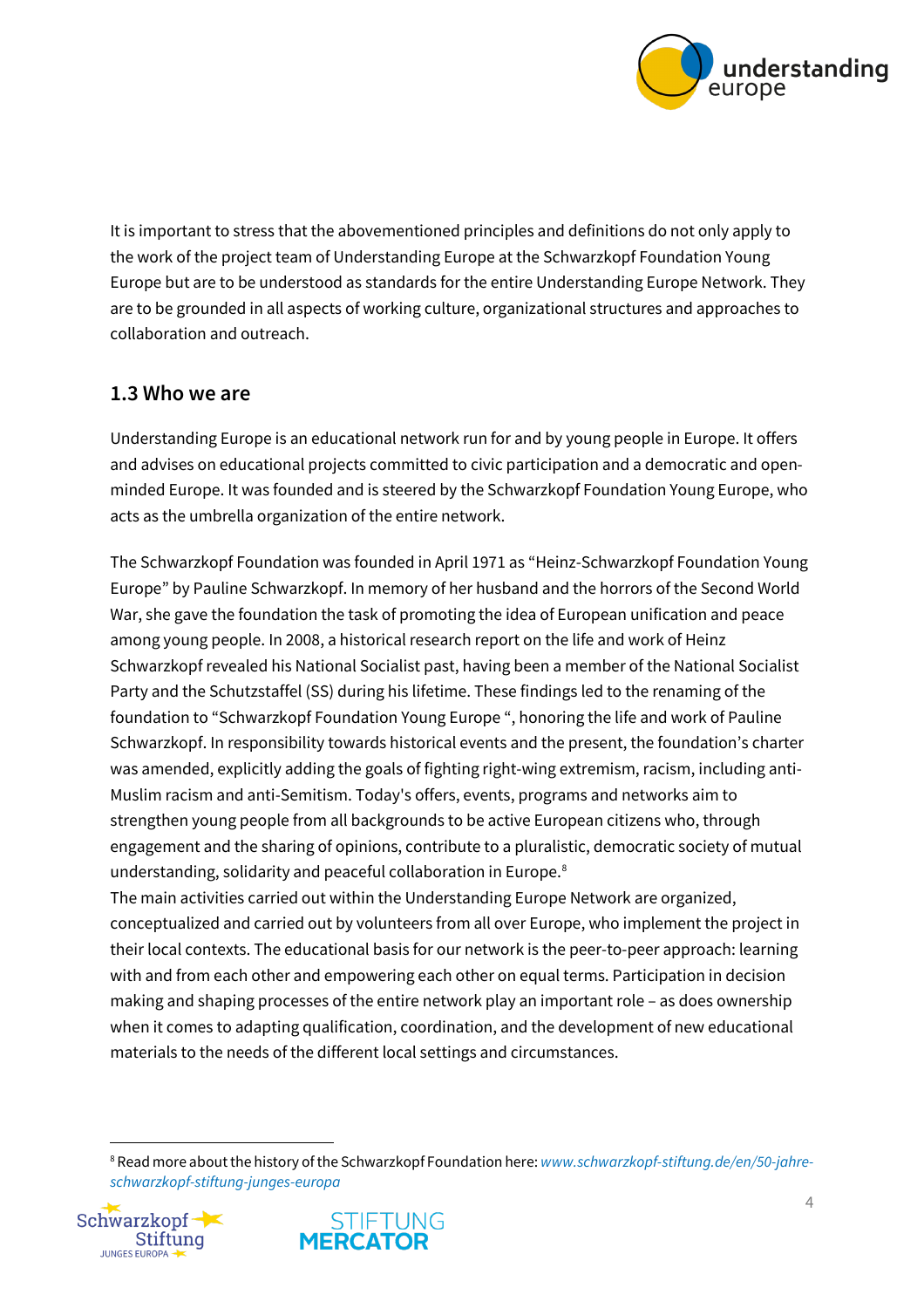

It is important to stress that the abovementioned principles and definitions do not only apply to the work of the project team of Understanding Europe at the Schwarzkopf Foundation Young Europe but are to be understood as standards for the entire Understanding Europe Network. They are to be grounded in all aspects of working culture, organizational structures and approaches to collaboration and outreach.

#### <span id="page-3-0"></span>**1.3 Who we are**

Understanding Europe is an educational network run for and by young people in Europe. It offers and advises on educational projects committed to civic participation and a democratic and openminded Europe. It was founded and is steered by the Schwarzkopf Foundation Young Europe, who acts as the umbrella organization of the entire network.

The Schwarzkopf Foundation was founded in April 1971 as "Heinz-Schwarzkopf Foundation Young Europe" by Pauline Schwarzkopf. In memory of her husband and the horrors of the Second World War, she gave the foundation the task of promoting the idea of European unification and peace among young people. In 2008, a historical research report on the life and work of Heinz Schwarzkopf revealed his National Socialist past, having been a member of the National Socialist Party and the Schutzstaffel (SS) during his lifetime. These findings led to the renaming of the foundation to "Schwarzkopf Foundation Young Europe ", honoring the life and work of Pauline Schwarzkopf. In responsibility towards historical events and the present, the foundation's charter was amended, explicitly adding the goals of fighting right-wing extremism, racism, including anti-Muslim racism and anti-Semitism. Today's offers, events, programs and networks aim to strengthen young people from all backgrounds to be active European citizens who, through engagement and the sharing of opinions, contribute to a pluralistic, democratic society of mutual understanding, solidarity and peaceful collaboration in Europe.<sup>[8](#page-3-1)</sup>

The main activities carried out within the Understanding Europe Network are organized, conceptualized and carried out by volunteers from all over Europe, who implement the project in their local contexts. The educational basis for our network is the peer-to-peer approach: learning with and from each other and empowering each other on equal terms. Participation in decision making and shaping processes of the entire network play an important role – as does ownership when it comes to adapting qualification, coordination, and the development of new educational materials to the needs of the different local settings and circumstances.

<span id="page-3-1"></span><sup>8</sup> Read more about the history of the Schwarzkopf Foundation here: *[www.schwarzkopf-stiftung.de/en/50-jahre](http://www.schwarzkopf-stiftung.de/en/50-jahre-schwarzkopf-stiftung-junges-europa)[schwarzkopf-stiftung-junges-europa](http://www.schwarzkopf-stiftung.de/en/50-jahre-schwarzkopf-stiftung-junges-europa)*



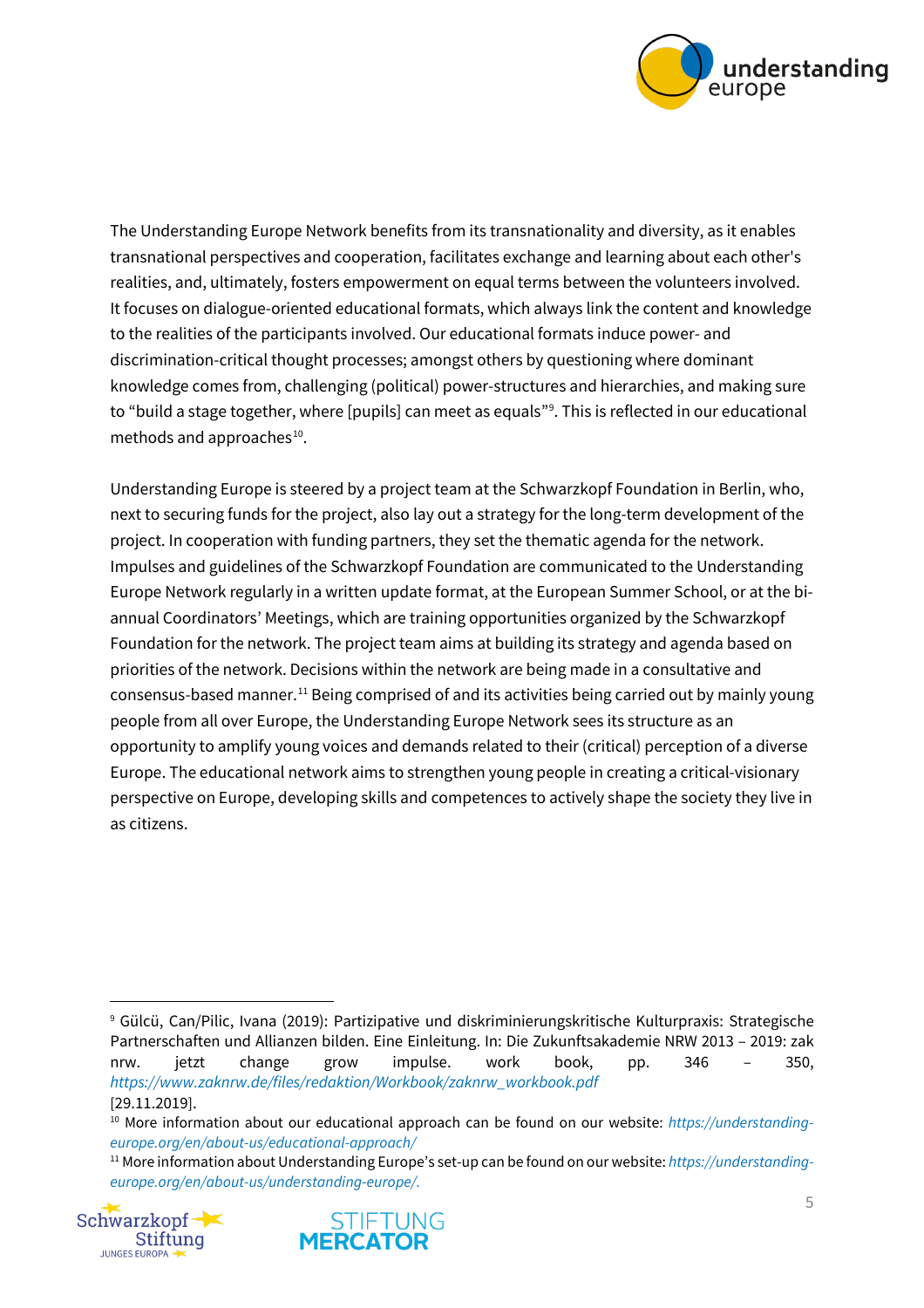

The Understanding Europe Network benefits from its transnationality and diversity, as it enables transnational perspectives and cooperation, facilitates exchange and learning about each other's realities, and, ultimately, fosters empowerment on equal terms between the volunteers involved. It focuses on dialogue-oriented educational formats, which always link the content and knowledge to the realities of the participants involved. Our educational formats induce power- and discrimination-critical thought processes; amongst others by questioning where dominant knowledge comes from, challenging (political) power-structures and hierarchies, and making sure to "build a stage together, where [pupils] can meet as equals"[9](#page-4-0) . This is reflected in our educational methods and approaches $^{10}$  $^{10}$  $^{10}$ .

Understanding Europe is steered by a project team at the Schwarzkopf Foundation in Berlin, who, next to securing funds for the project, also lay out a strategy for the long-term development of the project. In cooperation with funding partners, they set the thematic agenda for the network. Impulses and guidelines of the Schwarzkopf Foundation are communicated to the Understanding Europe Network regularly in a written update format, at the European Summer School, or at the biannual Coordinators' Meetings, which are training opportunities organized by the Schwarzkopf Foundation for the network. The project team aims at building its strategy and agenda based on priorities of the network. Decisions within the network are being made in a consultative and consensus-based manner.<sup>[11](#page-4-2)</sup> Being comprised of and its activities being carried out by mainly young people from all over Europe, the Understanding Europe Network sees its structure as an opportunity to amplify young voices and demands related to their (critical) perception of a diverse Europe. The educational network aims to strengthen young people in creating a critical-visionary perspective on Europe, developing skills and competences to actively shape the society they live in as citizens.

<span id="page-4-2"></span><span id="page-4-1"></span><sup>11</sup> More information about Understanding Europe's set-up can be found on our website: *https://understandingeurope.org/en/about-us/understanding-europe/.*





<span id="page-4-0"></span><sup>9</sup> Gülcü, Can/Pilic, Ivana (2019): Partizipative und diskriminierungskritische Kulturpraxis: Strategische Partnerschaften und Allianzen bilden. Eine Einleitung. In: Die Zukunftsakademie NRW 2013 – 2019: zak nrw. jetzt change grow impulse. work book, pp. 346 – 350, *[https://www.zaknrw.de/files/redaktion/Workbook/zaknrw\\_workbook.pdf](https://www.zaknrw.de/files/redaktion/Workbook/zaknrw_workbook.pdf)* [29.11.2019].

<sup>10</sup> More information about our educational approach can be found on our website: *[https://understanding](https://understanding-europe.org/en/about-us/educational-approach/)[europe.org/en/about-us/educational-approach/](https://understanding-europe.org/en/about-us/educational-approach/)*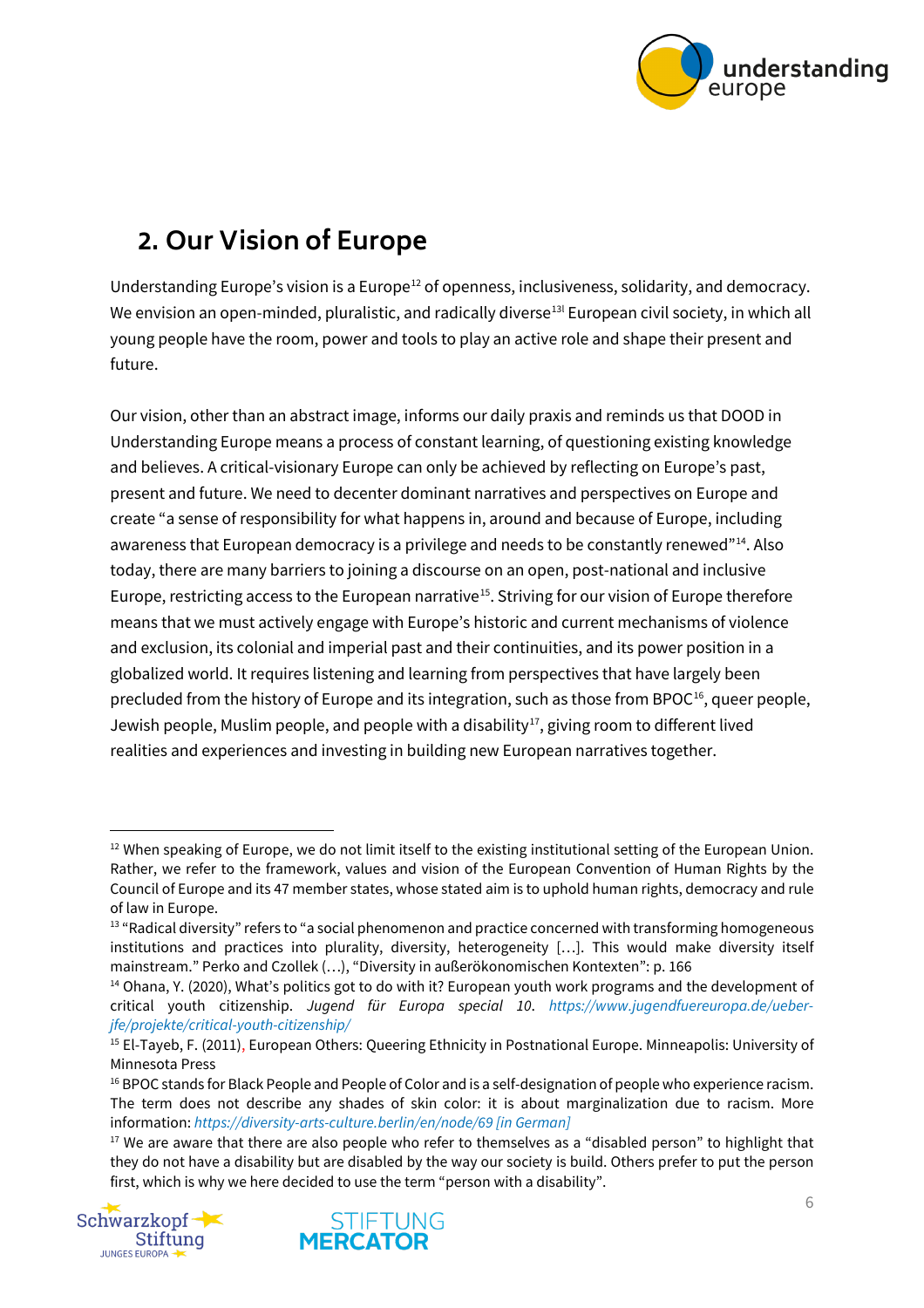

# <span id="page-5-0"></span>**2. Our Vision of Europe**

Understanding Europe's vision is a Europe<sup>[12](#page-5-1)</sup> of openness, inclusiveness, solidarity, and democracy. We envision an open-minded, pluralistic, and radically diverse $^{\rm 13l}$  $^{\rm 13l}$  $^{\rm 13l}$  European civil society, in which all young people have the room, power and tools to play an active role and shape their present and future.

Our vision, other than an abstract image, informs our daily praxis and reminds us that DOOD in Understanding Europe means a process of constant learning, of questioning existing knowledge and believes. A critical-visionary Europe can only be achieved by reflecting on Europe's past, present and future. We need to decenter dominant narratives and perspectives on Europe and create "a sense of responsibility for what happens in, around and because of Europe, including awareness that European democracy is a privilege and needs to be constantly renewed"<sup>[14](#page-5-3)</sup>. Also today, there are many barriers to joining a discourse on an open, post-national and inclusive Europe, restricting access to the European narrative<sup>15</sup>. Striving for our vision of Europe therefore means that we must actively engage with Europe's historic and current mechanisms of violence and exclusion, its colonial and imperial past and their continuities, and its power position in a globalized world. It requires listening and learning from perspectives that have largely been precluded from the history of Europe and its integration, such as those from BPOC<sup>[16](#page-5-5)</sup>, queer people, Jewish people, Muslim people, and people with a disability<sup>17</sup>, giving room to different lived realities and experiences and investing in building new European narratives together.

<span id="page-5-6"></span><span id="page-5-5"></span><sup>&</sup>lt;sup>17</sup> We are aware that there are also people who refer to themselves as a "disabled person" to highlight that they do not have a disability but are disabled by the way our society is build. Others prefer to put the person first, which is why we here decided to use the term "person with a disability".





<span id="page-5-1"></span> $12$  When speaking of Europe, we do not limit itself to the existing institutional setting of the European Union. Rather, we refer to the framework, values and vision of the European Convention of Human Rights by the Council of Europe and its 47 member states, whose stated aim is to uphold human rights, democracy and rule of law in Europe.

<span id="page-5-2"></span><sup>&</sup>lt;sup>13</sup> "Radical diversity" refers to "a social phenomenon and practice concerned with transforming homogeneous institutions and practices into plurality, diversity, heterogeneity […]. This would make diversity itself mainstream." Perko and Czollek (…), "Diversity in außerökonomischen Kontexten": p. 166

<span id="page-5-3"></span><sup>&</sup>lt;sup>14</sup> Ohana, Y. (2020), What's politics got to do with it? European youth work programs and the development of critical youth citizenship. *Jugend für Europa special 10*. *[https://www.jugendfuereuropa.de/ueber](https://www.jugendfuereuropa.de/ueber-jfe/projekte/critical-youth-citizenship/)[jfe/projekte/critical-youth-citizenship/](https://www.jugendfuereuropa.de/ueber-jfe/projekte/critical-youth-citizenship/)*

<span id="page-5-4"></span><sup>&</sup>lt;sup>15</sup> El-Tayeb, F. (2011), European Others: Queering Ethnicity in Postnational Europe. Minneapolis: University of Minnesota Press

<sup>&</sup>lt;sup>16</sup> BPOC stands for Black People and People of Color and is a self-designation of people who experience racism. The term does not describe any shades of skin color: it is about marginalization due to racism. More information: *<https://diversity-arts-culture.berlin/en/node/69> [in German]*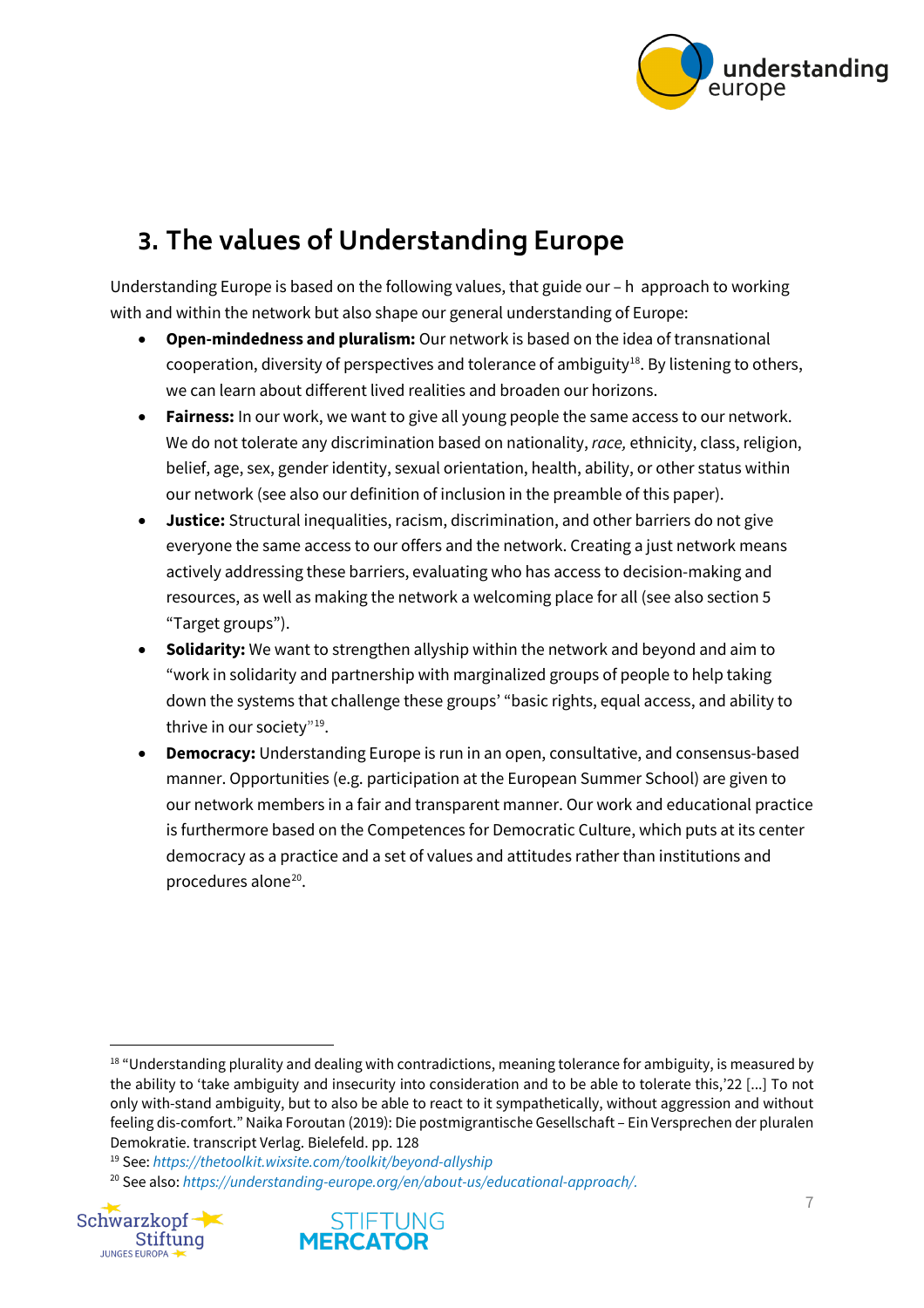

# <span id="page-6-0"></span>**3. The values of Understanding Europe**

Understanding Europe is based on the following values, that guide our – h approach to working with and within the network but also shape our general understanding of Europe:

- **Open-mindedness and pluralism:** Our network is based on the idea of transnational cooperation, diversity of perspectives and tolerance of ambiguity<sup>[18](#page-6-1)</sup>. By listening to others, we can learn about different lived realities and broaden our horizons.
- **Fairness:** In our work, we want to give all young people the same access to our network. We do not tolerate any discrimination based on nationality, *race,* ethnicity, class, religion, belief, age, sex, gender identity, sexual orientation, health, ability, or other status within our network (see also our definition of inclusion in the preamble of this paper).
- **Justice:** Structural inequalities, racism, discrimination, and other barriers do not give everyone the same access to our offers and the network. Creating a just network means actively addressing these barriers, evaluating who has access to decision-making and resources, as well as making the network a welcoming place for all (see also section 5 "Target groups").
- **Solidarity:** We want to strengthen allyship within the network and beyond and aim to "work in solidarity and partnership with marginalized groups of people to help taking down the systems that challenge these groups' "basic rights, equal access, and ability to thrive in our society"<sup>[19](#page-6-2)</sup>.
- **Democracy:** Understanding Europe is run in an open, consultative, and consensus-based manner. Opportunities (e.g. participation at the European Summer School) are given to our network members in a fair and transparent manner. Our work and educational practice is furthermore based on the Competences for Democratic Culture, which puts at its center democracy as a practice and a set of values and attitudes rather than institutions and procedures alone[20](#page-6-3).

<span id="page-6-3"></span><span id="page-6-2"></span><sup>20</sup> See also: *https://understanding-europe.org/en/about-us/educational-approach/.*





<span id="page-6-1"></span><sup>&</sup>lt;sup>18</sup> "Understanding plurality and dealing with contradictions, meaning tolerance for ambiguity, is measured by the ability to 'take ambiguity and insecurity into consideration and to be able to tolerate this,'22 [...] To not only with-stand ambiguity, but to also be able to react to it sympathetically, without aggression and without feeling dis-comfort." Naika Foroutan (2019): Die postmigrantische Gesellschaft – Ein Versprechen der pluralen Demokratie. transcript Verlag. Bielefeld. pp. 128

<sup>19</sup> See: *https://thetoolkit.wixsite.com/toolkit/beyond-allyship*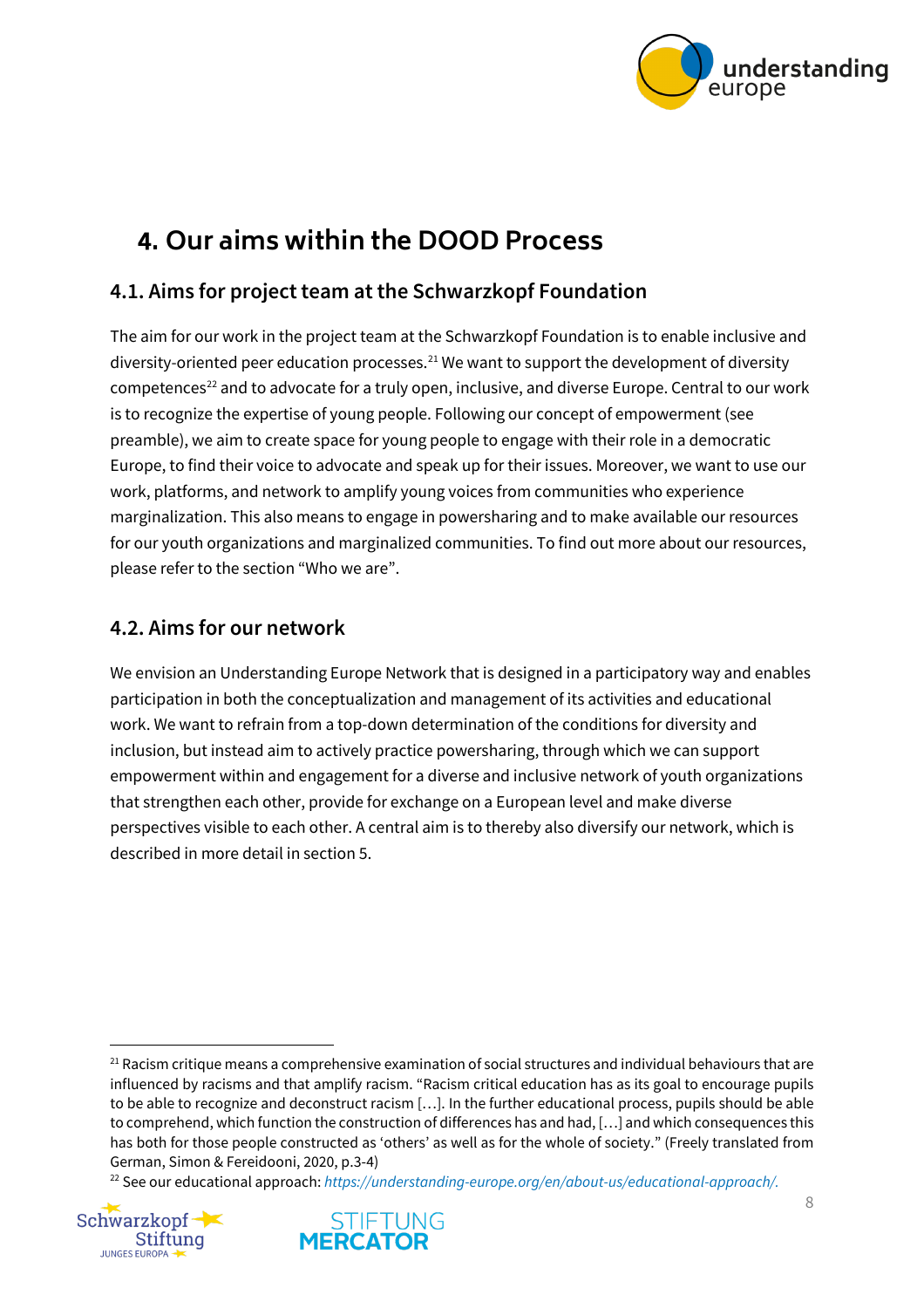

## <span id="page-7-0"></span>**4. Our aims within the DOOD Process**

#### <span id="page-7-1"></span>**4.1. Aims for project team at the Schwarzkopf Foundation**

The aim for our work in the project team at the Schwarzkopf Foundation is to enable inclusive and diversity-oriented peer education processes.<sup>[21](#page-7-3)</sup> We want to support the development of diversity competences<sup>[22](#page-7-4)</sup> and to advocate for a truly open, inclusive, and diverse Europe. Central to our work is to recognize the expertise of young people. Following our concept of empowerment (see preamble), we aim to create space for young people to engage with their role in a democratic Europe, to find their voice to advocate and speak up for their issues. Moreover, we want to use our work, platforms, and network to amplify young voices from communities who experience marginalization. This also means to engage in powersharing and to make available our resources for our youth organizations and marginalized communities. To find out more about our resources, please refer to the section "Who we are".

#### <span id="page-7-2"></span>**4.2. Aims for our network**

We envision an Understanding Europe Network that is designed in a participatory way and enables participation in both the conceptualization and management of its activities and educational work. We want to refrain from a top-down determination of the conditions for diversity and inclusion, but instead aim to actively practice powersharing, through which we can support empowerment within and engagement for a diverse and inclusive network of youth organizations that strengthen each other, provide for exchange on a European level and make diverse perspectives visible to each other. A central aim is to thereby also diversify our network, which is described in more detail in section 5.

<span id="page-7-4"></span><sup>22</sup> See our educational approach: *https://understanding-europe.org/en/about-us/educational-approach/.*





<span id="page-7-3"></span> $21$  Racism critique means a comprehensive examination of social structures and individual behaviours that are influenced by racisms and that amplify racism. "Racism critical education has as its goal to encourage pupils to be able to recognize and deconstruct racism […]. In the further educational process, pupils should be able to comprehend, which function the construction of differences has and had, […] and which consequences this has both for those people constructed as 'others' as well as for the whole of society." (Freely translated from German, Simon & Fereidooni, 2020, p.3-4)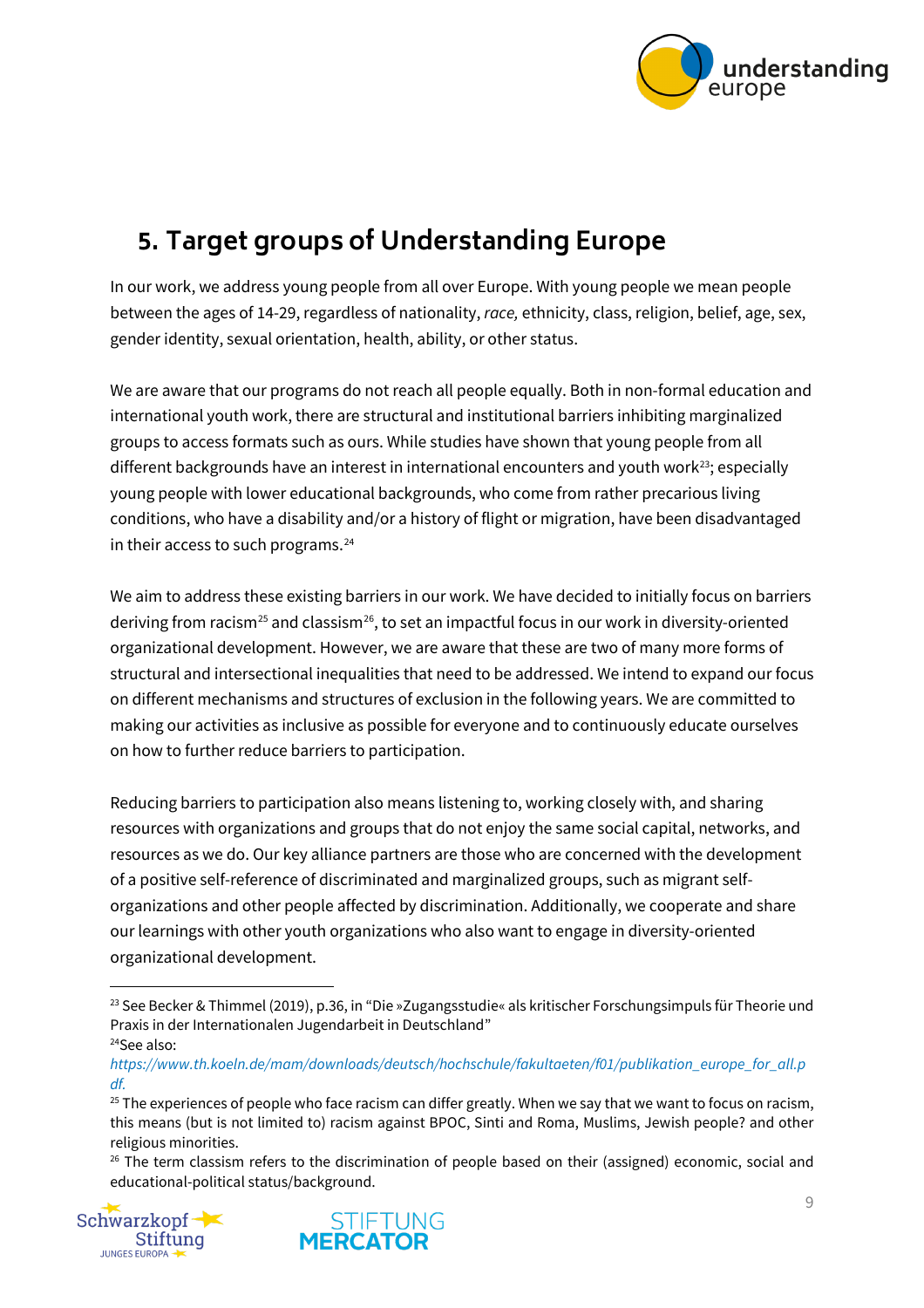

## <span id="page-8-0"></span>**5. Target groups of Understanding Europe**

In our work, we address young people from all over Europe. With young people we mean people between the ages of 14-29, regardless of nationality, *race,* ethnicity, class, religion, belief, age, sex, gender identity, sexual orientation, health, ability, or other status.

We are aware that our programs do not reach all people equally. Both in non-formal education and international youth work, there are structural and institutional barriers inhibiting marginalized groups to access formats such as ours. While studies have shown that young people from all different backgrounds have an interest in international encounters and youth work<sup>[23](#page-8-1)</sup>; especially young people with lower educational backgrounds, who come from rather precarious living conditions, who have a disability and/or a history of flight or migration, have been disadvantaged in their access to such programs. $24$ 

We aim to address these existing barriers in our work. We have decided to initially focus on barriers deriving from racism<sup>[25](#page-8-3)</sup> and classism<sup>26</sup>, to set an impactful focus in our work in diversity-oriented organizational development. However, we are aware that these are two of many more forms of structural and intersectional inequalities that need to be addressed. We intend to expand our focus on different mechanisms and structures of exclusion in the following years. We are committed to making our activities as inclusive as possible for everyone and to continuously educate ourselves on how to further reduce barriers to participation.

Reducing barriers to participation also means listening to, working closely with, and sharing resources with organizations and groups that do not enjoy the same social capital, networks, and resources as we do. Our key alliance partners are those who are concerned with the development of a positive self-reference of discriminated and marginalized groups, such as migrant selforganizations and other people affected by discrimination. Additionally, we cooperate and share our learnings with other youth organizations who also want to engage in diversity-oriented organizational development.

<span id="page-8-4"></span><span id="page-8-3"></span> $26$  The term classism refers to the discrimination of people based on their (assigned) economic, social and educational-political status/background.





<span id="page-8-1"></span><sup>&</sup>lt;sup>23</sup> See Becker & Thimmel (2019), p.36, in "Die »Zugangsstudie« als kritischer Forschungsimpuls für Theorie und Praxis in der Internationalen Jugendarbeit in Deutschland" 24See also:

<span id="page-8-2"></span>*https://www.th.koeln.de/mam/downloads/deutsch/hochschule/fakultaeten/f01/publikation\_europe\_for\_all.p df.*

<sup>&</sup>lt;sup>25</sup> The experiences of people who face racism can differ greatly. When we say that we want to focus on racism, this means (but is not limited to) racism against BPOC, Sinti and Roma, Muslims, Jewish people? and other religious minorities.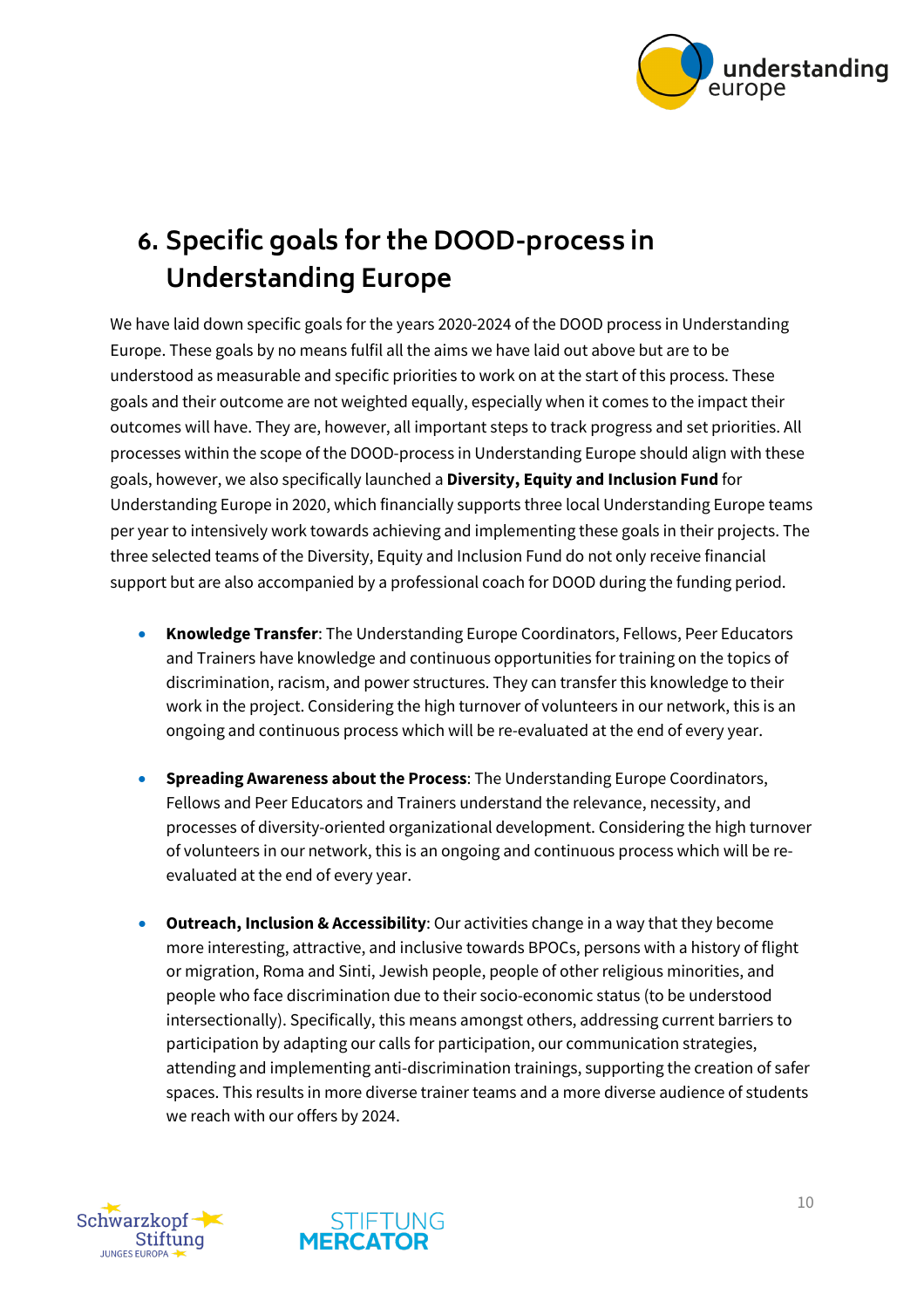

# <span id="page-9-0"></span>**6. Specific goals for the DOOD-process in Understanding Europe**

We have laid down specific goals for the years 2020-2024 of the DOOD process in Understanding Europe. These goals by no means fulfil all the aims we have laid out above but are to be understood as measurable and specific priorities to work on at the start of this process. These goals and their outcome are not weighted equally, especially when it comes to the impact their outcomes will have. They are, however, all important steps to track progress and set priorities. All processes within the scope of the DOOD-process in Understanding Europe should align with these goals, however, we also specifically launched a **Diversity, Equity and Inclusion Fund** for Understanding Europe in 2020, which financially supports three local Understanding Europe teams per year to intensively work towards achieving and implementing these goals in their projects. The three selected teams of the Diversity, Equity and Inclusion Fund do not only receive financial support but are also accompanied by a professional coach for DOOD during the funding period.

- **Knowledge Transfer**: The Understanding Europe Coordinators, Fellows, Peer Educators and Trainers have knowledge and continuous opportunities for training on the topics of discrimination, racism, and power structures. They can transfer this knowledge to their work in the project. Considering the high turnover of volunteers in our network, this is an ongoing and continuous process which will be re-evaluated at the end of every year.
- **Spreading Awareness about the Process**: The Understanding Europe Coordinators, Fellows and Peer Educators and Trainers understand the relevance, necessity, and processes of diversity-oriented organizational development. Considering the high turnover of volunteers in our network, this is an ongoing and continuous process which will be reevaluated at the end of every year.
- **Outreach, Inclusion & Accessibility**: Our activities change in a way that they become more interesting, attractive, and inclusive towards BPOCs, persons with a history of flight or migration, Roma and Sinti, Jewish people, people of other religious minorities, and people who face discrimination due to their socio-economic status (to be understood intersectionally). Specifically, this means amongst others, addressing current barriers to participation by adapting our calls for participation, our communication strategies, attending and implementing anti-discrimination trainings, supporting the creation of safer spaces. This results in more diverse trainer teams and a more diverse audience of students we reach with our offers by 2024.